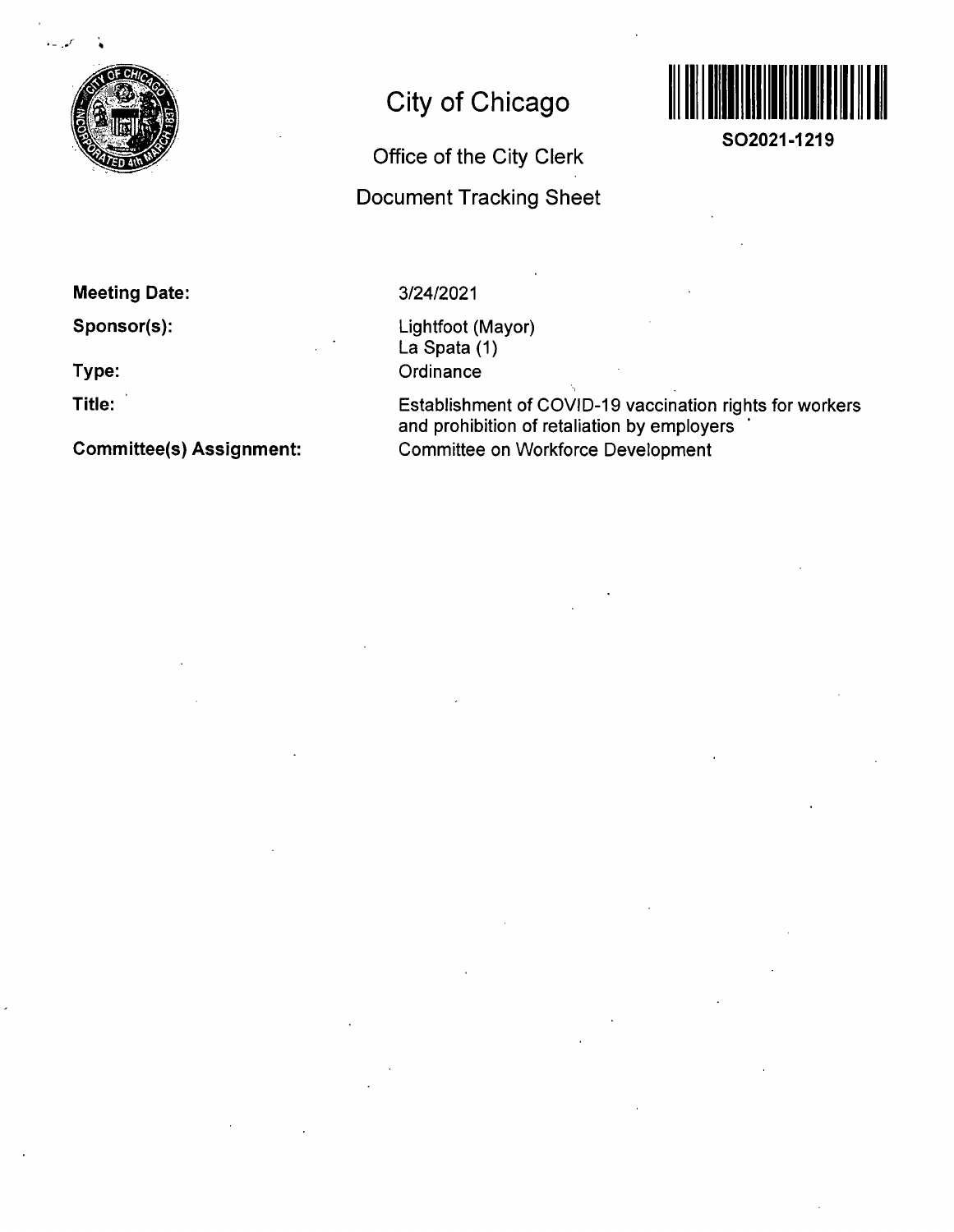

# **City of Chicago**

# **Office of the City Clerk**

## **Document Tracking Sheet**



**SO2021-1219** 

**Meeting Date:** 

**Sponsor(s):** 

**Type:** 

**Title:** 

**Committee(s) Assignment:** 

### 3/24/2021

Lightfoot (Mayor) La Spata (1) **Ordinance** 

Establishment of COVID-19 vaccination rights for workers and prohibition of retaliation by employers Committee on Workforce Development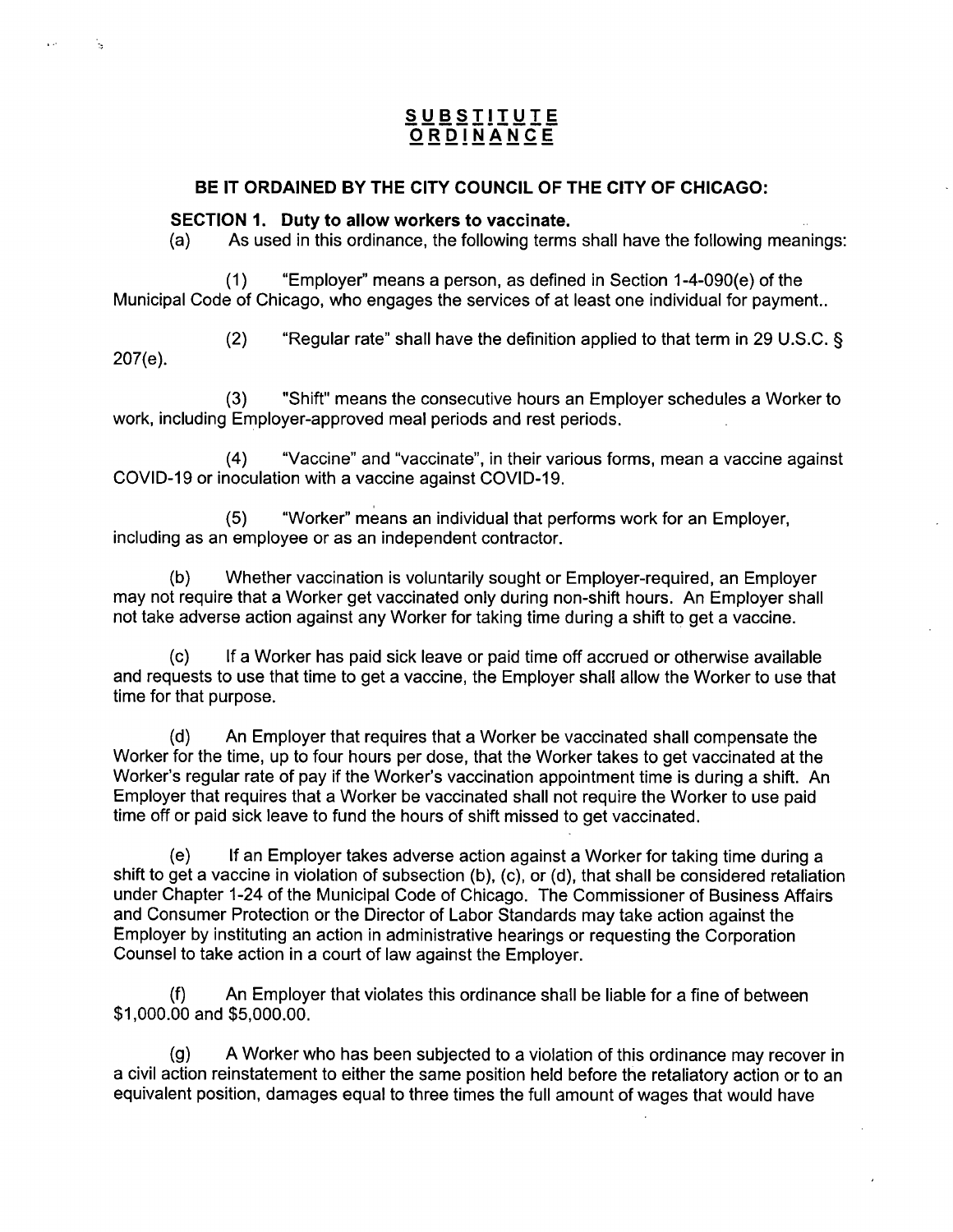### **S U BSTITUI E ORDINANC E**

#### **BE IT ORDAINED BY THE CITY COUNCIL OF THE CITY OF CHICAGO:**

#### **SECTION 1. Duty to allow workers to vaccinate.**

(a) As used in this ordinance, the following terms shall have the following meanings:

 $(1)$  "Employer" means a person, as defined in Section 1-4-090 $(e)$  of the Municipal Code of Chicago, who engages the services of at least one individual for payment..

(2) "Regular rate" shall have the definition applied to that term in 29 U.S.C. § 207(e).

(3) "Shift" means the consecutive hours an Employer schedules a Worker to work, including Employer-approved meal periods and rest periods.

(4) "Vaccine" and "vaccinate", in their various forms, mean a vaccine against COVID-19 or inoculation with a vaccine against COVID-19.

(5) "Worker" means an individual that performs work for an Employer, including as an employee or as an independent contractor.

(b) Whether vaccination is voluntarily sought or Employer-required, an Employer may not require that a Worker get vaccinated only during non-shift hours. An Employer shall not take adverse action against any Worker for taking time during a shift to get a vaccine.

(c) If a Worker has paid sick leave or paid time off accrued or otherwise available and requests to use that time to get a vaccine, the Employer shall allow the Worker to use that time for that purpose.

(d) An Employer that requires that a Worker be vaccinated shall compensate the Worker for the time, up to four hours per dose, that the Worker takes to get vaccinated at the Worker's regular rate of pay if the Worker's vaccination appointment time is during a shift. An Employer that requires that a Worker be vaccinated shall not require the Worker to use paid time off or paid sick leave to fund the hours of shift missed to get vaccinated.

(e) If an Employer takes adverse action against a Worker for taking time during a shift to get a vaccine in violation of subsection (b), (c), or (d), that shall be considered retaliation under Chapter 1-24 of the Municipal Code of Chicago. The Commissioner of Business Affairs and Consumer Protection or the Director of Labor Standards may take action against the Employer by instituting an action in administrative hearings or requesting the Corporation Counsel to take action in a court of law against the Employer.

(f) An Employer that violates this ordinance shall be liable for a fine of between \$1,000.00 and \$5,000.00.

(g) A Worker who has been subjected to a violation of this ordinance may recover in a civil action reinstatement to either the same position held before the retaliatory action or to an equivalent position, damages equal to three times the full amount of wages that would have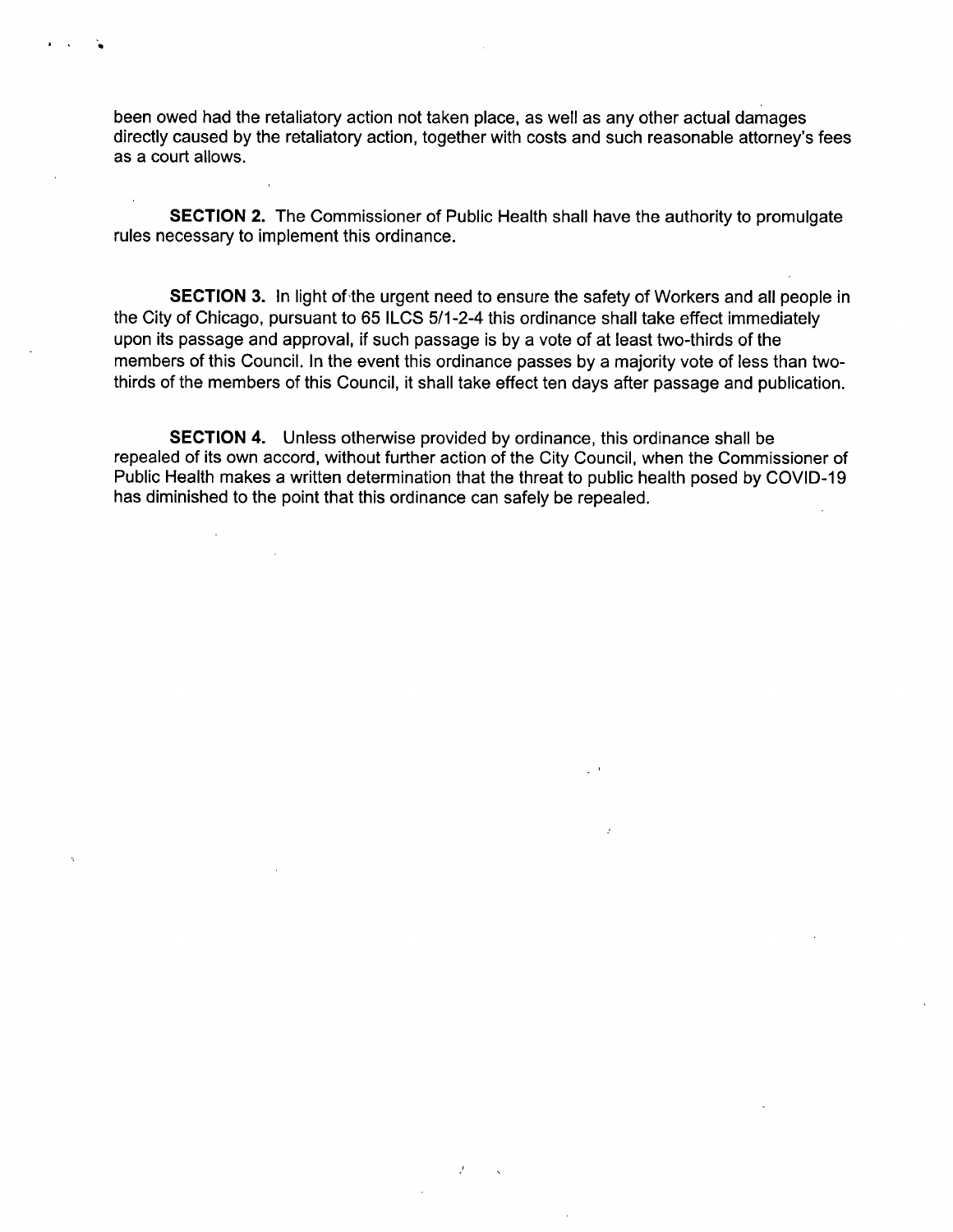been owed had the retaliatory action not taken place, as well as any other actual damages directly caused by the retaliatory action, together with costs and such reasonable attorney's fees as a court allows.

SECTION 2. The Commissioner of Public Health shall have the authority to promulgate rules necessary to implement this ordinance.

SECTION 3. In light of the urgent need to ensure the safety of Workers and all people in the City of Chicago, pursuant to 65 ILCS 5/1-2-4 this ordinance shall take effect immediately upon its passage and approval, if such passage is by a vote of at least two-thirds of the members of this Council. In the event this ordinance passes by a majority vote of less than twothirds of the members of this Council, it shall take effect ten days after passage and publication.

SECTION 4. Unless otherwise provided by ordinance, this ordinance shall be repealed of its own accord, without further action of the City Council, when the Commissioner of Public Health makes a written determination that the threat to public health posed by COVID-19 has diminished to the point that this ordinance can safely be repealed.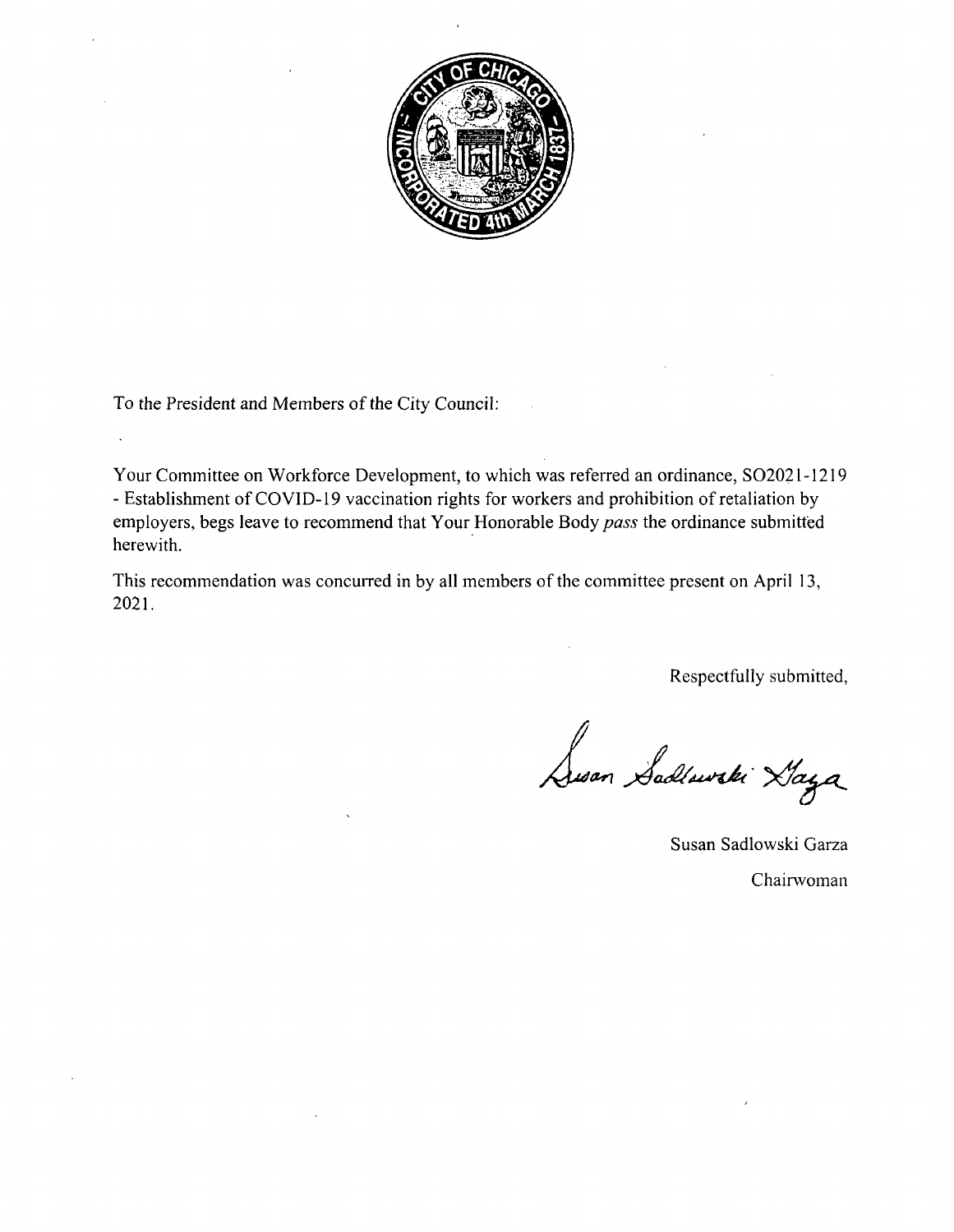

To the President and Members of the City Council:

 $\ddot{\phantom{a}}$ 

Your Committee on Workforce Development, to which was referred an ordinance, SO2021-1219 - Establishment of COVID-19 vaccination rights for workers and prohibition of retaliation by employers, begs leave to recommend that Your Honorable Body pass the ordinance submitted herewith.

This recommendation was concurred in by all members of the committee present on April 13, 2021.

Respectfully submitted,

Susan Sadlowski Haya

Susan Sadlowski Garza Chairwoman